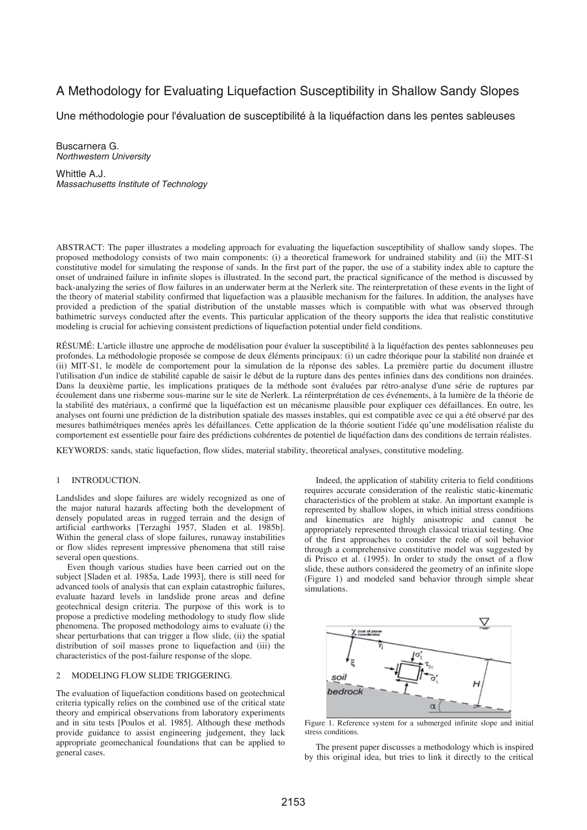# A Methodology for Evaluating Liquefaction Susceptibility in Shallow Sandy Slopes

Une méthodologie pour l'évaluation de susceptibilité à la liquéfaction dans les pentes sableuses

Buscarnera G. *Northwestern University* 

Whittle A.J. *Massachusetts Institute of Technology* 

ABSTRACT: The paper illustrates a modeling approach for evaluating the liquefaction susceptibility of shallow sandy slopes. The proposed methodology consists of two main components: (i) a theoretical framework for undrained stability and (ii) the MIT-S1 constitutive model for simulating the response of sands. In the first part of the paper, the use of a stability index able to capture the onset of undrained failure in infinite slopes is illustrated. In the second part, the practical significance of the method is discussed by back-analyzing the series of flow failures in an underwater berm at the Nerlerk site. The reinterpretation of these events in the light of the theory of material stability confirmed that liquefaction was a plausible mechanism for the failures. In addition, the analyses have provided a prediction of the spatial distribution of the unstable masses which is compatible with what was observed through bathimetric surveys conducted after the events. This particular application of the theory supports the idea that realistic constitutive modeling is crucial for achieving consistent predictions of liquefaction potential under field conditions.

RÉSUMÉ: L'article illustre une approche de modélisation pour évaluer la susceptibilité à la liquéfaction des pentes sablonneuses peu profondes. La méthodologie proposée se compose de deux éléments principaux: (i) un cadre théorique pour la stabilité non drainée et (ii) MIT-S1, le modèle de comportement pour la simulation de la réponse des sables. La première partie du document illustre l'utilisation d'un indice de stabilité capable de saisir le début de la rupture dans des pentes infinies dans des conditions non drainées. Dans la deuxième partie, les implications pratiques de la méthode sont évaluées par rétro-analyse d'une série de ruptures par écoulement dans une risberme sous-marine sur le site de Nerlerk. La réinterprétation de ces événements, à la lumière de la théorie de la stabilité des matériaux, a confirmé que la liquéfaction est un mécanisme plausible pour expliquer ces défaillances. En outre, les analyses ont fourni une prédiction de la distribution spatiale des masses instables, qui est compatible avec ce qui a été observé par des mesures bathimétriques menées après les défaillances. Cette application de la théorie soutient l'idée qu'une modélisation réaliste du comportement est essentielle pour faire des prédictions cohérentes de potentiel de liquéfaction dans des conditions de terrain réalistes.

KEYWORDS: sands, static liquefaction, flow slides, material stability, theoretical analyses, constitutive modeling.

## 1 INTRODUCTION.

Landslides and slope failures are widely recognized as one of the major natural hazards affecting both the development of densely populated areas in rugged terrain and the design of artificial earthworks [Terzaghi 1957, Sladen et al. 1985b]. Within the general class of slope failures, runaway instabilities or flow slides represent impressive phenomena that still raise several open questions.

Even though various studies have been carried out on the subject [Sladen et al. 1985a, Lade 1993], there is still need for advanced tools of analysis that can explain catastrophic failures, evaluate hazard levels in landslide prone areas and define geotechnical design criteria. The purpose of this work is to propose a predictive modeling methodology to study flow slide phenomena. The proposed methodology aims to evaluate (i) the shear perturbations that can trigger a flow slide, (ii) the spatial distribution of soil masses prone to liquefaction and (iii) the characteristics of the post-failure response of the slope.

### 2 MODELING FLOW SLIDE TRIGGERING.

The evaluation of liquefaction conditions based on geotechnical criteria typically relies on the combined use of the critical state theory and empirical observations from laboratory experiments and in situ tests [Poulos et al. 1985]. Although these methods provide guidance to assist engineering judgement, they lack appropriate geomechanical foundations that can be applied to general cases.

Indeed, the application of stability criteria to field conditions requires accurate consideration of the realistic static-kinematic characteristics of the problem at stake. An important example is represented by shallow slopes, in which initial stress conditions and kinematics are highly anisotropic and cannot be appropriately represented through classical triaxial testing. One of the first approaches to consider the role of soil behavior through a comprehensive constitutive model was suggested by di Prisco et al. (1995). In order to study the onset of a flow slide, these authors considered the geometry of an infinite slope (Figure 1) and modeled sand behavior through simple shear simulations.



Figure 1. Reference system for a submerged infinite slope and initial stress conditions.

The present paper discusses a methodology which is inspired by this original idea, but tries to link it directly to the critical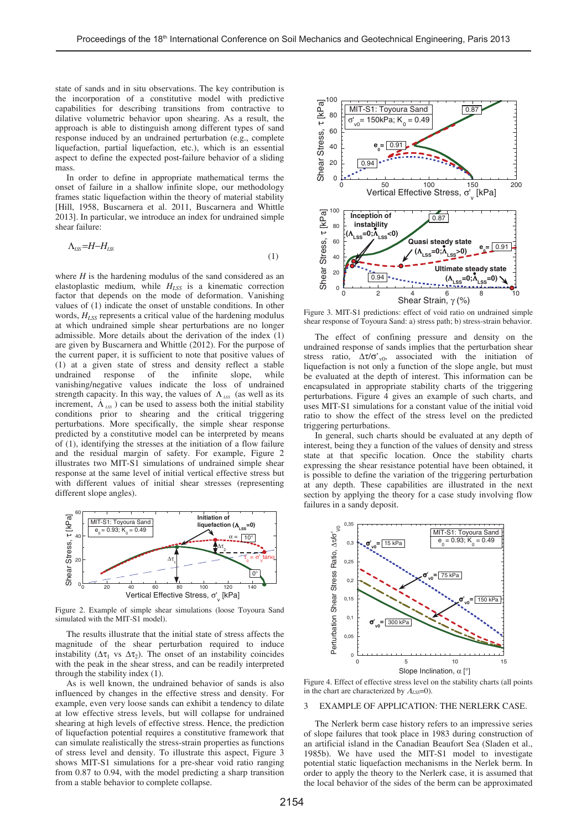state of sands and in situ observations. The key contribution is the incorporation of a constitutive model with predictive capabilities for describing transitions from contractive to dilative volumetric behavior upon shearing. As a result, the approach is able to distinguish among different types of sand response induced by an undrained perturbation (e.g., complete liquefaction, partial liquefaction, etc.), which is an essential aspect to define the expected post-failure behavior of a sliding mass.

In order to define in appropriate mathematical terms the onset of failure in a shallow infinite slope, our methodology frames static liquefaction within the theory of material stability [Hill, 1958, Buscarnera et al. 2011, Buscarnera and Whittle 2013]. In particular, we introduce an index for undrained simple shear failure:

$$
\Lambda_{\text{LS}} = H - H_{\text{LS}} \tag{1}
$$

where *H* is the hardening modulus of the sand considered as an elastoplastic medium, while *HLSS* is a kinematic correction factor that depends on the mode of deformation. Vanishing values of (1) indicate the onset of unstable conditions. In other words,  $H_{LSS}$  represents a critical value of the hardening modulus at which undrained simple shear perturbations are no longer admissible. More details about the derivation of the index (1) are given by Buscarnera and Whittle (2012). For the purpose of the current paper, it is sufficient to note that positive values of (1) at a given state of stress and density reflect a stable undrained response of the infinite slope, while vanishing/negative values indicate the loss of undrained strength capacity. In this way, the values of  $\Lambda_{LSS}$  (as well as its increment,  $\Lambda_{LSS}$ ) can be used to assess both the initial stability conditions prior to shearing and the critical triggering perturbations. More specifically, the simple shear response predicted by a constitutive model can be interpreted by means of (1), identifying the stresses at the initiation of a flow failure and the residual margin of safety. For example, Figure 2 illustrates two MIT-S1 simulations of undrained simple shear response at the same level of initial vertical effective stress but with different values of initial shear stresses (representing different slope angles).



Figure 2. Example of simple shear simulations (loose Toyoura Sand simulated with the MIT-S1 model).

The results illustrate that the initial state of stress affects the magnitude of the shear perturbation required to induce instability ( $\Delta \tau_1$  vs  $\Delta \tau_2$ ). The onset of an instability coincides with the peak in the shear stress, and can be readily interpreted through the stability index (1).

As is well known, the undrained behavior of sands is also influenced by changes in the effective stress and density. For example, even very loose sands can exhibit a tendency to dilate at low effective stress levels, but will collapse for undrained shearing at high levels of effective stress. Hence, the prediction of liquefaction potential requires a constitutive framework that can simulate realistically the stress-strain properties as functions of stress level and density. To illustrate this aspect, Figure 3 shows MIT-S1 simulations for a pre-shear void ratio ranging from 0.87 to 0.94, with the model predicting a sharp transition from a stable behavior to complete collapse.



Figure 3. MIT-S1 predictions: effect of void ratio on undrained simple shear response of Toyoura Sand: a) stress path; b) stress-strain behavior.

The effect of confining pressure and density on the undrained response of sands implies that the perturbation shear stress ratio,  $\Delta \tau / \sigma'$ <sub>v0</sub>, associated with the initiation of liquefaction is not only a function of the slope angle, but must be evaluated at the depth of interest. This information can be encapsulated in appropriate stability charts of the triggering perturbations. Figure 4 gives an example of such charts, and uses MIT-S1 simulations for a constant value of the initial void ratio to show the effect of the stress level on the predicted triggering perturbations.

In general, such charts should be evaluated at any depth of interest, being they a function of the values of density and stress state at that specific location. Once the stability charts expressing the shear resistance potential have been obtained, it is possible to define the variation of the triggering perturbation at any depth. These capabilities are illustrated in the next section by applying the theory for a case study involving flow failures in a sandy deposit.



Figure 4. Effect of effective stress level on the stability charts (all points in the chart are characterized by <sup>Λ</sup>*LSS*=0).

#### 3 EXAMPLE OF APPLICATION: THE NERLERK CASE.

The Nerlerk berm case history refers to an impressive series of slope failures that took place in 1983 during construction of an artificial island in the Canadian Beaufort Sea (Sladen et al., 1985b). We have used the MIT-S1 model to investigate potential static liquefaction mechanisms in the Nerlek berm. In order to apply the theory to the Nerlerk case, it is assumed that the local behavior of the sides of the berm can be approximated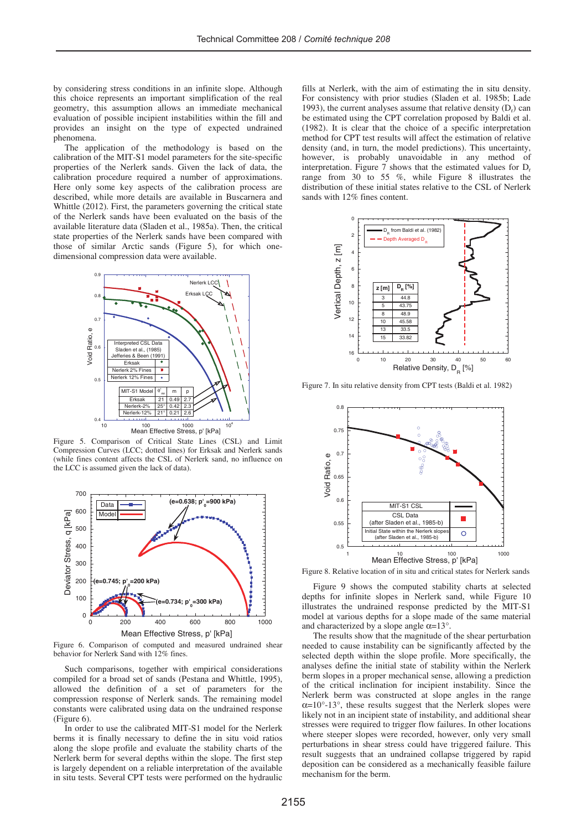by considering stress conditions in an infinite slope. Although this choice represents an important simplification of the real geometry, this assumption allows an immediate mechanical evaluation of possible incipient instabilities within the fill and provides an insight on the type of expected undrained phenomena.

The application of the methodology is based on the calibration of the MIT-S1 model parameters for the site-specific properties of the Nerlerk sands. Given the lack of data, the calibration procedure required a number of approximations. Here only some key aspects of the calibration process are described, while more details are available in Buscarnera and Whittle (2012). First, the parameters governing the critical state of the Nerlerk sands have been evaluated on the basis of the available literature data (Sladen et al., 1985a). Then, the critical state properties of the Nerlerk sands have been compared with those of similar Arctic sands (Figure 5), for which onedimensional compression data were available.



Figure 5. Comparison of Critical State Lines (CSL) and Limit Compression Curves (LCC; dotted lines) for Erksak and Nerlerk sands (while fines content affects the CSL of Nerlerk sand, no influence on the LCC is assumed given the lack of data).



Figure 6. Comparison of computed and measured undrained shear behavior for Nerlerk Sand with 12% fines.

Such comparisons, together with empirical considerations compiled for a broad set of sands (Pestana and Whittle, 1995), allowed the definition of a set of parameters for the compression response of Nerlerk sands. The remaining model constants were calibrated using data on the undrained response (Figure 6).

In order to use the calibrated MIT-S1 model for the Nerlerk berms it is finally necessary to define the in situ void ratios along the slope profile and evaluate the stability charts of the Nerlerk berm for several depths within the slope. The first step is largely dependent on a reliable interpretation of the available in situ tests. Several CPT tests were performed on the hydraulic

fills at Nerlerk, with the aim of estimating the in situ density. For consistency with prior studies (Sladen et al. 1985b; Lade 1993), the current analyses assume that relative density  $(D<sub>r</sub>)$  can be estimated using the CPT correlation proposed by Baldi et al. (1982). It is clear that the choice of a specific interpretation method for CPT test results will affect the estimation of relative density (and, in turn, the model predictions). This uncertainty, however, is probably unavoidable in any method of interpretation. Figure 7 shows that the estimated values for  $D_r$ range from 30 to 55 %, while Figure 8 illustrates the distribution of these initial states relative to the CSL of Nerlerk sands with 12% fines content.



Figure 7. In situ relative density from CPT tests (Baldi et al. 1982)



Figure 8. Relative location of in situ and critical states for Nerlerk sands

Figure 9 shows the computed stability charts at selected depths for infinite slopes in Nerlerk sand, while Figure 10 illustrates the undrained response predicted by the MIT-S1 model at various depths for a slope made of the same material and characterized by a slope angle  $\alpha$ =13°.

The results show that the magnitude of the shear perturbation needed to cause instability can be significantly affected by the selected depth within the slope profile. More specifically, the analyses define the initial state of stability within the Nerlerk berm slopes in a proper mechanical sense, allowing a prediction of the critical inclination for incipient instability. Since the Nerlerk berm was constructed at slope angles in the range  $\alpha$ =10°-13°, these results suggest that the Nerlerk slopes were likely not in an incipient state of instability, and additional shear stresses were required to trigger flow failures. In other locations where steeper slopes were recorded, however, only very small perturbations in shear stress could have triggered failure. This result suggests that an undrained collapse triggered by rapid deposition can be considered as a mechanically feasible failure mechanism for the berm.